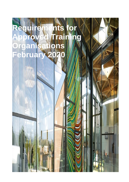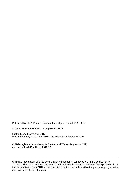Published by CITB, Bircham Newton, King's Lynn, Norfolk PE31 6RH

#### **© Construction Industry Training Board 2017**

First published November 2017 Revised January 2018, June 2018, December 2018, February 2020

CITB is registered as a charity in England and Wales (Reg No 264289) and in Scotland (Reg No SC044875)

CITB has made every effort to ensure that the information contained within this publication is accurate. This pack has been prepared as a downloadable resource. It may be freely printed without further permission from CITB on the condition that it is used solely within the purchasing organisation and is not used for profit or gain.

\_\_\_\_\_\_\_\_\_\_\_\_\_\_\_\_\_\_\_\_\_\_\_\_\_\_\_\_\_\_\_\_\_\_\_\_\_\_\_\_\_\_\_\_\_\_\_\_\_\_\_\_\_\_\_\_\_\_\_\_\_\_\_\_\_\_\_\_\_\_\_\_\_\_\_\_\_\_\_\_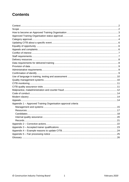# **Contents**

| Appendix 1 - Approved Training Organisation approval criteria |  |
|---------------------------------------------------------------|--|
|                                                               |  |
|                                                               |  |
|                                                               |  |
|                                                               |  |
| Records.                                                      |  |
|                                                               |  |
|                                                               |  |
|                                                               |  |
|                                                               |  |
|                                                               |  |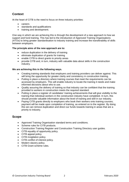## **Context**

At the heart of CITB is the need to focus on three industry priorities:

- careers
- standards and qualifications
- training and development.

One way in which we are achieving this is through the development of a new approach to how we support and fund training. This has led to the introduction of Approved Training Organisations (ATOs) to bring greater standardisation to industry training and increase the transferability of skills between employers.

#### **The principle aims of the new approach are to:**

- reduce duplication in the delivery of training
- eliminate duplication of grants for training
- enable CITB to direct grants to priority areas
- provide CITB and, in turn, industry with valuable data about skills in the construction industry.

#### **We are achieving this in the following ways.**

- Creating training standards that employers and training providers can deliver against. This will bring the opportunity for greater clarity and consistency in construction training.
- Putting in place a directory where training courses that meet the requirements can be accessed by employers. This will enable industry to locate the training it needs and make informed decisions about who to use.
- Quality assuring the delivery of training so that industry can be confident that the training provided to workers in construction meets the required standard.
- Putting in place a register of candidates' training achievements that will give visibility to the training that individual workers in the construction industry have completed. In turn, this should provide valuable information about the level of training and skill in our industry.
- Paying CITB grants directly to employers who book their workers onto training courses; payment will be made upon completion of training, as entered on to the register. By doing this we can remove duplication and direct our funds towards training in areas that are a priority to industry.

### **Scope**

- Approved Training Organisation standard terms and conditions.
- Scheme rules for CITB products.
- Construction Training Register and Construction Training Directory user guides.
- CITB equality of opportunity policy.
- CITB appeal policy.
- CITB invigilation policy.
- CITB conflict of interest policy.
- Modern slavery policy.
- CITB Grant scheme rules.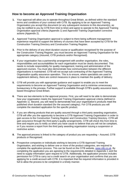## **How to become an Approved Training Organisation**

- **1.** Your approval will allow you to operate throughout Great Britain, as defined within the standard terms and conditions of your contract with CITB. By applying to be an Approved Training Organisation you accept this document (or any subsequent revisions to this document(s), as may be notified to you by CITB from time to time) and agree to operate to the Approved Training Organisation approval criteria (Appendix 1) and Approved Training Organisation corrective actions (Appendix 2).
- **2.** Approved Training Organisation approval is subject to there being sufficient management experience required to support the delivery of courses that have been accepted by CITB for the Construction Training Directory and Construction Training Register.
- **3.** Prior to the delivery of any short duration course or qualification recognised for the purpose of the Construction Training Register, you must become an Approved Training Organisation for the appropriate category (Assured, CITB products and/or Recognised).
- **4.** If your organisation has a partnership arrangement with another organisation, the roles, responsibilities and accountabilities for each organisation must be clearly documented. This needs to include responsibility for quality management, training and administration of the approved courses. You must also demonstrate how communication between the different organisations is maintained. CITB will not accept sub-contracting of the Approved Training Organisation quality assurance operation. This is to ensure, where specialists are used to supplement delivery, there are control measures in place to maintain the quality of delivery.
- **5.** CITB will provide you with appropriate guidance and support to enable you to meet the requirements to become an Approved Training Organisation and to minimise unnecessary bureaucracy in the process. Further support is available through CITB's quality assurance team, based throughout Great Britain.
- **6.** There are two elements to the approval process. First, you will need to be able to demonstrate how your organisation meets the Approved Training Organisation approval criteria (defined in Appendix 1). Second, you will need to demonstrate how your organisation's products meet the published short duration standard (for the assured category). For CITB products you will complete the standard application for the specific product.
- **7.** If you are offering products that are quality assured through a third party awarding organisation, CITB will offer you the opportunity to become a CITB Approved Training Organisation in order to gain access to the Construction Training Register and Construction Training Directory. CITB will gain assurance through the third party's quality arrangements. CITB will check this from time to time and require you to notify us when you have cause to believe that you will not be compliant, or if you receive a report from the third party awarding organisation issuing a suspension or restrictive action.
- **8.** The approval process is linked to the category of product you are requesting Assured, CITB products or Recognised.
- **9.** Prospective companies or individuals wishing to become a CITB Approved Training Organisation, and wishing to deliver one or more of the product categories, are required to complete the application process. This can be found on the CITB website, [www.citb.co.uk.](http://www.citb.co.uk/) By completing the application you are agreeing to the requirements detailed in Appendix 1 and the need to supply information upon request to CITB. Additionally, the application process includes permission for CITB to carry out a credit search on your organisation and confirms that you are applying for a credit account with CITB. It is important that the required information is provided in full to allow the process to be completed in a timely manner.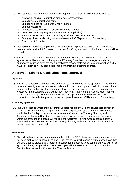- **10.** For Approved Training Organisation status approval, the following information is required.
	- Approved Training Organisation authorised representative.
	- Company or organisational name.
	- Company House or Registered Charity Number.
	- Company address.
	- Contact details, including email and telephone number.
	- CITB Company Levy Registration Number (as applicable).
	- Accounts department contact, including email and telephone number.
	- Category of standards being requested (Assured, CITB products or Recognised).
	- Super User information.
- **11.** Incomplete or inaccurate applications will be returned unprocessed until the full and correct information is received. Information will be held for 30 days, at which point the application will be closed.
- **12.** You will also be asked to confirm that the Approved Training Organisation, its staff and/or agents that will be involved in the Approved Training Organisations management, delivery and/or administration have not been investigated for any malpractice, maladministration and/or fraud in relation to a regulated qualification or unregulated training courses.

### **Approved Training Organisation status approval**

#### **Approval**

**13.** You will be approved once you have demonstrated, to the reasonable opinion of CITB, that you have successfully met the requirements detailed in the contract pack. In addition, you will have demonstrated a robust quality management system by supplying all requested information. Access will be provided to the Construction Training Directory and the Construction Training Register at this stage. Your course details will not appear in the Directory until successful completion of the selected product category approval (Assured, CITB products, Recognised).

#### **Summary approval**

**14.** This will be issued where there are minor updates required that, in the reasonable opinion of CITB, do not present a risk to Approved Training Organisation status and can be remedied within the first 30 days of approval. Access to the Construction Training Directory and Construction Training Register will be provided. Failure to meet the actions set and agreed within the prescribed timescale will result in the Approved Training Organisation's approval status and access to the Construction Training Directory and Construction Training Register being suspended or removed.

#### **Action plan**

**15.** This will be issued where, in the reasonable opinion of CITB, the approval requirements have not been met by the Approved Training Organisation. You will receive a written action plan that will give clear guidance and a realistic timescale for the actions to be completed. You will not be approved during this period and, as a result, you will not have access to the Construction Training Directory or the Construction Training Register.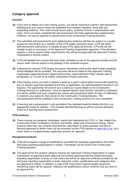## **Category approval**

### **Assured**

- **16.** If you wish to deliver your own training course, you will be required to submit a self-assessment detailing how your course meets the published short duration standard, along with any supporting evidence. This could include lesson plans, schemes of work or presentations and notes. Once you have completed the self-assessment and have gathered the supplementary evidence, you will be required to upload these to the Construction Training Directory.
- **17.** The submitted self-assessments and supplementary evidence will then be subject to a quality assurance intervention by a member of the CITB quality assurance team. CITB will select self-assessment submissions to sample as part of the approval process. CITB will use the sample to gain an assurance of the Approved Training Organisation approach. If the standard requires a visit to assure further requirements, this will be arranged with the Approved Training Organisation's named contact.
- **18.** CITB will highlight the courses that have been reviewed as part of the approval sample and will assure other courses based on the findings of the reviewed courses.
- **19.** Following the required CITB quality assurance intervention (visit and/or desk-based sampling), formal feedback will be provided. The outcomes will be as listed for the Approved Training Organisation approval process (Approval/Summary, Approval/Action Plan). Please refer to paragraphs 12, 13 and 14 for further clarification of these outcomes.
- **20.** If the training course you wish to deliver is listed as a grant funded option (course title listed) but has no industry approved standard at the time of application, the self-assessment process is not required. The opportunity will exist for you to add your course details to the Construction Training Directory for publication. Once an agreed industry short duration standard is published, you will be notified and must complete the course self-assessment within 30 days of notification to maintain your status for that course on the Construction Training Directory. The self-assessment will be available in the Construction Training Directory for your completion.
- **21.** E-learning and e-assessment is only permitted if the standard explicitly details that this is an appropriate media for delivery. This includes blended learning as well as courses delivered solely by e-learning and e-assessment.

### **CITB products**

**22.** These courses are designed, developed, owned and maintained by CITB, i.e. Site Safety Plus, Construction Plant Competence Scheme and health, safety and environment testing. These products have their own scheme requirements. Information on these products and how to become approved to deliver them can be accessed via the CITB website at [www.citb.co.uk](http://www.citb.co.uk/). As a result, there is a supplementary application process for approval.

#### **Recognised products**

- **23.** CITB will recognise a range of qualifications accredited by awarding organisations and other third party awarding organisations or bodies. Full details can be found in the Construction Training Directory.
- **24.** The approval for this product category requires the Approved Training Organisation to supply confirmation of approval (centre approval and scheme approval) with the related third party awarding organisation or body. In most cases this will be an approval certificate provided by the third party awarding organisation or body, listing the routes, qualifications and categories they are approved to deliver. In addition, a copy of the most recent external quality assurance monitoring report will be required, relating to the qualifications and/or schemes that you wish to be approved for.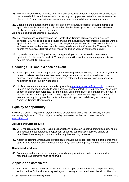- **25.** This information will be reviewed by CITB's quality assurance team. Approval will be subject to the required third party documentation being supplied by you. As part of the quality assurance checks, CITB may confirm the accuracy of documentation with the issuing organisation.
- **26.** E-learning and e-assessment is only permitted if the standard explicitly details that this is an appropriate media for delivery. This includes blended learning as well as courses delivered solely by e-learning and e-assessment.

#### **Adding an additional course or category**

- **27.** You can increase your portfolio on the Construction Training Directory as your business develops. You will be able to add courses within the assured and recognised categories without applications or cost if you already hold that category approval. You will need to complete a self-assessment and/or upload supplementary evidence to the Construction Training Directory prior to the delivery. CITB will confirm receipt and when you can commence delivery.
- **28.** If you wish to add a CITB product to your approval, you will be required to complete an application for the specific product. This application will follow the scheme requirements, as detailed for each CITB product.

### **Updating CITB about a specific event**

- **29.** As an Approved Training Organisation you have a requirement to make CITB aware if you have cause to believe that there has been any change in circumstances that could affect your approval status and/or delivery of any approved category. Examples of possible reasons for notification can be found in Appendix 4.
- **30.** Notifications and updates can be made by emailing [quality.assurance@citb.co.uk.](mailto:quality.assurance@citb.co.uk) If you are unsure if the change is specific to your approval, please contact CITB's quality assurance team to confirm and/or gain guidance. Failure to notify CITB immediately of a change could result in the suspension of your Approved Training Organisation. CITB will investigate all sources of information supplied by any third party that relates to approval and delivery of courses by Approved Training Organisations.

## **Equality of opportunity**

*CITB has a policy of equality of opportunity and diversity that aligns with the Equality Act and secondary legislation. CITB's policy on equal opportunities can be found on our website*  [www.citb.co.uk](http://www.citb.co.uk/)*.*

#### **Assured and CITB products**

- **31.** CITB requires all Approved Training Organisations to have an Equal Opportunities policy and to offer a documented reasonable adjustment or special consideration policy to ensure all candidates have an equal chance of achieving their learning outcome.
- **32.** Approved Training Organisations must document all requests for reasonable adjustments and/or special considerations and demonstrate how they have been applied, or the rationale for refusal.

#### **Recognised products**

**33.** For recognised products, the third party awarding organisation or body requirements for reasonable adjustments must be followed.

### **Appeals and complaints**

**34.** You must be able to demonstrate that you have an up to date appeals and complaints policy and procedure for individuals to appeal against training and/or certification decisions. This must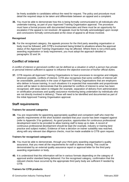be freely available to candidates without the need for request. The policy and procedure must detail the required steps to be taken and differentiate between an appeal and a complaint.

**35.** You must be able to demonstrate how this is being formally communicated to all individuals who undertake training, as part of your Approved Training Organisation approval. The procedure must have a formal process with documented timescales and there must be an opportunity for escalation if the appeal is not resolved. All appeals must be formally acknowledged upon receipt and conclusions formally communicated at the close of appeal to all those involved.

#### **Recognised**

**36.** For the recognised category, the appeals process for the third party awarding organisation or body must be followed, with CITB's involvement being limited to situations where the approval status of the Approved Training Organisation may be affected. Where there is not a third party awarding organisation or body requirement, you must adopt the approach detailed in paragraphs 33 and 34.

### **Conflict of interest**

*A conflict of interest or perceived conflict can be defined as a situation in which a person has private or personal interest sufficient to appear to influence the objective exercise of his/her official duties.*

**37.** CITB requires all Approved Training Organisations to have processes to recognise and mitigate. wherever possible, conflicts of interest. CITB also recognises that some conflicts of interest will be unavoidable, particularly in the case of Approved Training Organisations that are employers who deliver in-house training. In such situations it is expected that reasonable and proportionate action will be taken to demonstrate that the potential for conflicts of interest to arise has been recognised, with steps taken to mitigate (for example, separation of delivery from administration or certification processes and quality assurance monitoring being undertaken by individuals who are not directly involved in delivery). These will need to be identified and documented as part of the initial Approved Training Organisation approval.

### **Staff requirements**

#### **Trainers for assured categories**

**38.** You are responsible for appointing appropriately qualified and competent staff who meet the specific requirements of the short duration standard that your course has been mapped against (refer to Appendix 3 for guidance). As good practice, opportunities for continuous professional development need to be provided to allow training staff to keep up to date. A record of continuous professional development should be kept (for example, industry or training best practice and subject matter). Evidence of how a decision on trainer suitability was reached, along with any relevant due diligence checks, must be made available to CITB upon request.

#### **Trainers for recognised categories**

- **39.** You must be able to demonstrate, through your third party awarding organisation's quality assurance, that you meet all the requirements for staff to deliver training. This could be demonstrated by an external quality assurance report or approval letter for the third party awarding organisation or body.
- **40.** It is understood that this information will be in various formats depending on the category of approval and/or standard being delivered. For the recognised category, confirmation that the relevant checks have occurred by the appropriate third party body are sufficient if needed by CITB.

#### **Trainers for CITB products**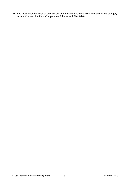**41.** You must meet the requirements set out in the relevant scheme rules. Products in this category include Construction Plant Competence Scheme and Site Safety.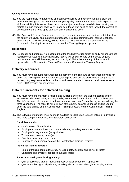#### **Quality monitoring staff**

- **42.** You are responsible for appointing appropriately qualified and competent staff to carry out quality monitoring and the management of your quality management system. It is expected that staff undertaking this role will have necessary subject knowledge to aid decision making and maintain a high standard of delivery. In addition, those staff must be familiar with the content of this document and keep up to date with any changes that occur.
- **43.** The Approved Training Organisation must have a quality management system that details how the quality of delivery and supporting processes, including administration, course feedback, accuracy and quality of delivery, will be monitored. This will include the accuracy of the Construction Training Directory and Construction Training Register uploads.

#### **Recognised**

**44.** For recognised products, it is accepted that the third party organisation or body will check these requirements. Access to external quality reports will be sufficient to demonstrate ongoing performance. You will, however, be monitored by CITB for the accuracy of the information uploaded to the Construction Training Directory and Construction Training Register.

### **Delivery resources**

**45.** You must have adequate resources for the delivery of training, and all resources provided for use in the training must be fit for purpose, taking into account the environment being used for delivery. Any requirements listed in the short duration standard (Assured product) or scheme rules (CITB product) are mandatory.

### **Data requirements for delivered training**

- **46.** You must have and maintain a reliable and auditable system of the training, testing and/or assessment delivered, along with any quality assurance, for a minimum period of three years. This information could be used to substantiate any claims and/or resolve any appeals during the three year period. The records will form part of the quality assurance checks and be used to audit the data entries on the Construction Training Directory and the Construction Training Register.
- **47.** The following information must be made available to CITB upon request, listing all individuals who have completed training, testing and/or assessment.

#### **Candidate details**

- Confirmation of identification.
- Employer's name, address and contact details, including telephone number.
- Employee's Levy number (as applicable).
- Trainer's (or trainers') name(s).
- Quality assurance person's name.
- Consent to use personal data on the Construction Training Register.

#### **Individual training records**

- Name of training course delivered, including date, location, and trainer or tester.
- Candidate and employer feedback (as applicable).

#### **Records of quality monitoring activity**

- Quality policy and plan of monitoring activity (audit schedule, if applicable).
- Quality monitoring activity details, including who, what and when (for example, audits).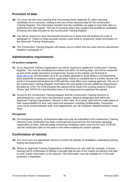### **Provision of data**

- **48.** You must use this exact wording (*Fair Processing Notice Appendix 5*), when inducting candidates on to course(s), relating to the use of their personal data for the Construction Training Register. This information includes how the candidate can apply to have their data unpublished from the register. The Fair Processing notice also explains the benefits to candidates of having their data included on the Construction Training Register.
- **49.** You will be required to have documented procedures in place that will facilitate the audit of paragraph 47. Failure to keep accurate records could result in suspension and/or termination of the Approved Training Organisation.
- **50.** The Construction Training Register will require you to confirm that you have met the requirement detailed in paragraph 47

### **Administrative requirements**

#### **All product categories**

- **51.** As an Approved Training Organisation you will be required to update the Construction Training Register. This must be completed accurately and within 10 working days, and will be measured as part of the quality assurance arrangements. Access to the register can be found at [www.citb.co.uk.](http://www.my.citb.co.uk/) All information must be accurately uploaded to avoid delays in corresponding grant payments to employers (where applicable). Failure to complete this in a timely manner will result in increased interventions by CITB and this could affect your ongoing approval. The use of the Construction Training Register must follow the user guides and any additional requirements provided by CITB. *For CITB products the upload will be made from existing systems ('Awards Online' and 'CPCS On') and therefore there is no requirement to duplicate the upload.*
- **52.** Access to the Construction Training Register and the Construction Training Directory is administered by a user name and password system, linked to designated staff within the Approved Training Organisation, relevant to their roles. As a result, staff must be made aware of their responsibilities for their user name and password, including confidentiality. Passwords must not be shared between staff, and inappropriate use will constitute maladministration and/or fraud.

#### **Recognised**

**53.** For recognised products, achievement data must only be submitted to the Construction Training Directory once certification has been confirmed and received from the third party awarding organisation or body. Internal quality monitoring completion dates must not be used. CITB will use the certification date as the point in time when auditing the system uploads.

## **Confirmation of identity**

- **54.** You must carry out appropriate checks to confirm the identity of candidates undertaking training, testing and assessment.
- **55.** Where an Approved Training Organisation is delivering to its own staff (for example, in-house training) and if confirmation of identity is already held as part of the routine recruitment and right to work, further information is not required. This information must be available for CITB audit purposes, if requested.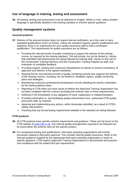### **Use of language in training, testing and assessment**

**56.** All training, testing and assessment must be delivered in English, Welsh or Irish, unless another language is specifically detailed in the training standard or scheme specific guidance.

### **Quality management systems**

#### **Assured products**

- **57.** Delivery of the assured product does not require internal verification, as is the case in many regulated qualifications (such as NVQs). Unless the standard requires specific qualifications and expertise, there is no requirement for your quality assurance staff to hold a verification qualification. The requirements for quality assurance are as follows.
	- Providing the relevant levels of quality monitoring to support the delivery of the training course, as required by the training standard. This will include, but not be limited to, checks that submitted self-assessments are being followed by training staff, checks on the use of the Construction Training Directory and the Construction Training Register by staff, and evaluation of candidate feedback.
	- Providing support, training and continuous development to trainers to ensure consistency of approach and delivery to the agreed standards.
	- Keeping formal, documented records of quality monitoring activity that supports the delivery of the training courses, including, but not limited to, feedback reports, quality monitoring plans and strategies.
	- Maintaining continuous professional development records detailing the activity undertaken by the training delivery team.
	- Reporting to CITB when you have cause to believe the Approved Training Organisation has not been compliant with the contract (including the scheme rules or these requirements).
	- Notifying CITB immediately of any allegation of fraud, malpractice or maladministration.
	- Providing information to, and facilitating quality interventions from, authorised CITB quality assurance staff, as required.
	- Agreeing and implementing any actions, within timescales identified, as a result of CITB's quality interventions.
	- Checking that any formal testing requirements detailed in the standard are being followed.

### **CITB products**

- **58.** All CITB products have specific scheme requirements and guidance. These can be found on the CITB website at [www.citb.co.uk.](http://www.citb.co.uk/) Any internal quality arrangements required to be followed can be found within the scheme rules for the specific product.
- **59.** For recognised training and qualifications, third party awarding organisations will monitor processes relating to third party approval. This includes internal quality assurance. Refer to the relevant guidance supplied by the appropriate third party awarding organisation or body for specific guidance. CITB expects Approved Training Organisations to demonstrate best practice and compliance with the stated third part requirements.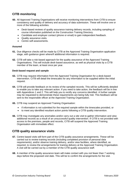## **CITB monitoring**

- **60.** All Approved Training Organisations will receive monitoring interventions from CITB to ensure consistency and quality of delivery and accuracy of data submission. These will involve one or more of the following activities.
	- Desk-based reviews of quality assurance training delivery records, including sampling of course information published on the Construction Training Directory.
	- Candidate and employer contact (phone or email) to gain independent feedback.
	- Quality assurance visits.
	- Centre self-assessments.

#### **Assured**

- **61.** Due diligence checks will be made by CITB at the Approved Training Organisation application stage, with guidance given where/if additional information is required.
- **62.** CITB will take a risk-based approach for the quality assurance of the Approved Training Organisations. This will include desk-based assurance, as well as physical visits by a CITB member of the team, at least once per year.

#### **Desk-based request and sample**

- **63.** CITB may request information from the Approved Training Organisation for a desk-based intervention. CITB will detail the timescales for any information to be supplied within the initial request.
- **64.** CITB will provide feedback on its review of the sampled records. This will be sufficiently detailed to enable you to take any relevant action. If you need to take action, the feedback will be in line with Appendices 1 and 2. This will help you to rectify any concerns identified. A further sample may be requested to demonstrate these requirements are being fully met. This feedback will be sent to the responsible officer at the Approved Training Organisation.
- **65.** CITB may suspend an Approved Training Organisation:
	- if information is not submitted for the required sample within the timescales provided, or
	- to meet any identified resultant action points following a CITB quality intervention.
- **66.** CITB may investigate any anomalies and/or carry out a site visit to gather information and view additional records as a result of an unsuccessful quality intervention. If CITB is not provided with access to the premises, people and records, CITB will suspend the Approved Training Organisation with immediate effect.

### **CITB quality assurance visits**

- **67.** Centre based visits will form part of the CITB quality assurance arrangements. These will be carried out to review training records (including completed provision of personal data requirements), and/or observe training delivery, and/or view facilities, where identified, as required, to review the arrangements for training delivery at the Approved Training Organisation. A visit will be carried out by a member of the CITB quality assurance staff.
- **68.** A member of the quality assurance team will make contact with you not fewer than 7 working days before the proposed visit date. This will be to confirm the arrangements for the visit.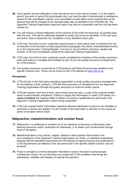- **69.** Once agreed, formal notification of the visit will be sent to the named contact. If, in the interim period, you wish to cancel this prearranged visit, you must be able to demonstrate a satisfactory reason for the cancellation request. Any cancellations made within seven working days of the planned visit will be charged at our standard daily rate, as detailed in the CITB fees list. The Approved Training Organisation approval status may also be suspended until the visit has been carried out.
- **70.** You will receive a formal notification of the outcome of the audit not more than 10 working days after the visit. This will be sufficiently detailed to rectify any concerns identified. CITB may carry out further visits to determine the completion of any identified action plan.
- **71.** CITB may, from time to time, undertake unannounced or short notice visits to minimise the risk of breaches in the provision of data requirements (paragraph 45) and/or unsubstantiated entries on to the Construction Training Register. If access is not provided to premises, people and records, CITB may immediately suspend the Approved Training Organisation.
- **72.** CITB may, from time to time, moderate reports completed by members of the quality assurance team and reduce or escalate their findings as part of our own quality assurance arrangements for CITB products.
- **73.** The quality assurance monitoring for CITB products will follow the processes detailed in the specific scheme rules. These can be found on the CITB website at [www.citb.co.uk.](http://www.citb.co.uk/)

#### **Recognised**

- **74.** CITB will rely on the third party awarding organisation or body quality assurance arrangements for the delivery of their products. CITB will seek assurance of compliance from the Approved Training Organisation through the quality assurance or external verifier reports.
- **75.** CITB will request, from time to time, and at least once per year, a copy of the external verifier report to demonstrate compliance. Failure to supply this information or make CITB aware of a **cause to believe** the ongoing ability to deliver course(s) or qualification(s) will result in the Approved Training Organisation status being suspended.
- **76.** CITB may request further information regarding affected individuals if concerns are identified or sanctions or actions are applied. On the receipt of this information a decision on the course of action to be taken will be made.

### **Malpractice, maladministration and counter fraud**

- **77.** Malpractice is a deliberate or reckless act of an individual or business to dishonesty claim learning outcomes and/or certificates for individuals, or to obtain such achievement through fraud or deception.
- **78.** Maladministration is any activity, neglect, default or other practice that results in the non-compliance of the Approved Training Organisation (or centre, or individual undertaking training) with the specified requirements for the delivery of agreed training and qualifications. CITB requirements are defined in this document and in the specific related scheme rules for products.
- **79.** Fraud is wrongful or criminal deception intended to result in financial or personal gain. Furthermore, fraud is an act that does not comply with CITB conditions and brings the authenticity, reliability and integrity of training into question.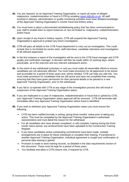- **80.** You are required, as an Approved Training Organisation, to report all cases of alleged malpractice, maladministration or fraud to CITB by emailing [report.it@citb.co.uk.](mailto:report.it@citb.co.uk) All staff involved in delivery, administration or quality monitoring activities must have detailed knowledge of the Approved Training Organisation's counter fraud and bribery policy.
- **81.** You must have in place a documented whistleblowing policy that has been communicated to your staff to enable them to report instances of, but not limited to, malpractice, maladministration and/or fraud.
- **82.** Upon receipt of any fraud or bribery reports, CITB will suspend the Approved Training Organisation's approval to protect any future investigation.
- **83.** CITB will pass all details to the CITB Fraud department to carry out an investigation. This could include (but is not limited to) centre visits, staff interviews, candidate interviews and investigation of all relevant paperwork.
- **84.** In the first instance a report of the investigation will be sent to the CITB fraud manager and CITB quality and verification manager. A decision will then be made within 10 working days, where practicable, as to the outcome and any relevant subsequent action.
- **85.** In the event of any withdrawal (voluntary or not) you must make all reasonable efforts to ensure candidates are not adversely affected. You must make provisions for all paperwork to be stored and accessible for a period of three years and, where needed, CITB can help you with this. You must make provisions for candidates that are still active and have not completed their training, ensuring that they have given permission for their personal details to be passed to a new Approved Training Organisation, prior to the withdrawal.
- **86.** If you fail to co-operate with CITB at any stage of the investigation process this will result in suspension of the Approved Training Organisation status.
- **87.** If you are implicated in a case of malpractice, maladministration or fraud that is upheld by CITB, your Approved Training Organisation status approval will be removed. CITB will terminate with immediate effect any Approved Training Organisation where fraud is identified.
- **88.** If you wish to withdraw your Approved Training Organisation status you must ensure the following.
	- CITB has been notified formally in writing, giving three months' notice prior to taking any action. This must be completed by the Approved Training Organisation's authorised representative and must detail the reason for the withdrawal.
	- For all candidates who have already completed, or will complete, training during the three month notice period, any achievements have been uploaded to the Construction Training Register.
	- If you have candidates where outstanding commitments have been made, suitable arrangements are in place for these individuals to complete their training. If transferred to another Approved Training Organisation, individual agreement is sought and confirmation of personal data sharing is gained.
	- Provision is made to store training records, as detailed in the data requirements section of this document. These must be kept for a period of three years.
	- You facilitate and allow a CITB closure visit, if required by CITB.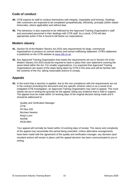### **Code of conduct**

- **89.** CITB expects its staff to conduct themselves with integrity, impartiality and honesty. Dealings with customers are expected to be completed sympathetically, efficiently, promptly (within stated timescales, where applicable) and without bias.
- **90.** This behaviour is also expected to be reflected by the Approved Training Organisation's staff and associated personnel in their dealings with CITB staff. As a result, CITB will take appropriate action if this is found to fall below our expectations.

### **Modern slavery**

- **91.** Section 54 of the Modern Slavery Act 2015 sets requirements for large, commercial organisations to produce an annual slavery and human trafficking statement. CITB's statement is published on the CITB website at [www.citb.co.uk.](http://www.citb.co.uk/)
- **92.** Any Approved Training Organisation that meets the requirements set out in Section 54 of the Modern Slavery Act 2015 would be required to have in place their own statement covering the areas listed within the Act. For smaller organisations, it is expected that Approved Training Organisations are aware of the steps being taken by CITB in this area and will be familiar with the contents of the Act, taking reasonable actions to comply.

### **Appeals**

**93.** In the event that a sanction is applied, due to the non-compliance with the requirements set out in the contract (including this document and any specific scheme rules) or as a result of an instigated CITB investigation, an Approved Training Organisation may wish to appeal. This must clearly set out in writing the grounds for the appeal, listing any evidence that is held in support. The appeal must be made within 10 working days of the original decision being made and it should be addressed to:

Quality and Verification Manager CITB PO Box 320 Bircham Newton King's Lynn Norfolk PE30 6RH

Your appeal will normally be heard within 10 working days of receipt. The nature and complexity of the appeal may necessitate this period being extended. Unless alternative arrangements have been made with the agreement of the quality and verification manager, any decision (and resultant action) will remain in place until the appeal decision has been communicated to you in writing.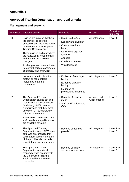# **Approved Training Organisation approval criteria**

## **Management and systems**

| Reference | Approval criteria                                                                                                                                                                                                                                                                                                                                                          | <b>Examples</b>                                                                                                                                                                             | <b>Products</b>              | Compliance<br>reference |
|-----------|----------------------------------------------------------------------------------------------------------------------------------------------------------------------------------------------------------------------------------------------------------------------------------------------------------------------------------------------------------------------------|---------------------------------------------------------------------------------------------------------------------------------------------------------------------------------------------|------------------------------|-------------------------|
| 1.0       | Policies are in place that help<br>the provider to operate<br>effectively and meet the agreed<br>requirements for an Approved<br><b>Training Organisation</b><br>These policies and procedures<br>are reviewed at least annually<br>and updated with relevant<br>changes<br>All changes are communicated<br>to relevant parties (candidates,<br>delegates, staff and CITB) | • Health and safety<br>• Equality and diversity<br>• Counter fraud and<br>bribery<br>• Quality management<br>systems<br>• Appeals<br>Conflicts of interest<br>$\bullet$<br>• Whistleblowing | All categories               | Level 1                 |
| 1.1       | Insurances are in place that<br>protect all stakeholders<br>(delegates, staff and<br>customers)                                                                                                                                                                                                                                                                            | • Evidence of employer<br>liability<br>Evidence of public<br>liability<br>Evidence of<br>$\bullet$<br>professional indemnity                                                                | All categories               | Level 3                 |
| 1.2       | The Approved Training<br>Organisation carries out and<br>records due diligence checks<br>for delivery staff to ensure<br>suitability and that they meet<br>any given CITB, standard or<br>scheme requirements<br>Evidence of these checks and<br>staff details and qualifications<br>are available for audit                                                               | Records of checks<br>made<br>• Staff qualifications and<br>CVs                                                                                                                              | Assured and<br>CITB products | Level <sub>2</sub>      |
| 1.3       | The Approved Training<br>Organisation keeps CITB up to<br>date with any changes that<br>could affect delivery or status<br>of the provider. Guidance is<br>sought if any uncertainty exists                                                                                                                                                                                | Records of updates<br>provided                                                                                                                                                              | All categories               | Level 1 to<br>Level 3   |
| 1.4       | The Approved Training<br>Organisation submits all<br>required details accurately to<br>the Construction Training<br>Register within the stated<br>timescales                                                                                                                                                                                                               | Records of timely,<br>accurate submissions                                                                                                                                                  | All categories               | Level 1 to<br>Level 3   |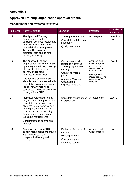## **Approved Training Organisation approval criteria**

## **Management and systems** *continued*

| Reference | Approval criteria                                                                                                                                                                                                                                                                                                                                                          | <b>Examples</b>                                                                                                                                                                                              | <b>Products</b>                                                                                                                                              | Compliance<br>reference |
|-----------|----------------------------------------------------------------------------------------------------------------------------------------------------------------------------------------------------------------------------------------------------------------------------------------------------------------------------------------------------------------------------|--------------------------------------------------------------------------------------------------------------------------------------------------------------------------------------------------------------|--------------------------------------------------------------------------------------------------------------------------------------------------------------|-------------------------|
| 1.5       | The Approved Training<br>Organisation maintains<br>auditable, accurate records and<br>provides access to CITB on<br>request (including Approved<br><b>Training Organisation</b><br>premises, staff and training<br>delivery locations)                                                                                                                                     | Training delivery staff<br>$\bullet$<br>Candidate and delegate<br>information<br>Quality assurance                                                                                                           | All categories                                                                                                                                               | Level 1 to<br>Level 3   |
| 1.6       | The Approved Training<br>Organisation has clearly written<br>operating procedures, covering<br>all aspects of the training<br>delivery and related<br>administration activities<br>Any conflicts of interest are<br>identified and documented with<br>steps taken to minimise risk in<br>the delivery. Where risks<br>cannot be minimised, guidance<br>is sought from CITB | • Operating procedures<br>related to Approved<br><b>Training Organisation</b><br>delivery<br>Conflict of interest<br>policy<br><b>Approved Training</b><br>$\bullet$<br>Organisation<br>organisational chart | Assured and<br>CITB products<br>Please refer to<br>specific scheme<br>rules for detail<br>Recognised<br>Please see specific<br>guidance for this<br>category | Level 1                 |
| 1.7       | Individual agreement (or opt<br>out) is gained from prospective<br>candidates or delegates to<br>allow the use of personal data<br>for the purpose of the CITB,<br><b>CTR and Approved Training</b><br>Organisation meeting current<br>legislative requirements<br>Confirmations to be available<br>for audit                                                              | Candidate confirmations<br>of agreement                                                                                                                                                                      | All categories                                                                                                                                               | Level <sub>2</sub>      |
| 1.8       | Actions arising from CITB<br>quality interventions are shared<br>with relevant staff and<br>completed within agreed<br>timescales                                                                                                                                                                                                                                          | Evidence of closure of<br>actions<br>Meeting minutes<br>$\bullet$<br>Changes to processes<br>Improved records                                                                                                | Assured and<br>CITB products                                                                                                                                 | Level 2                 |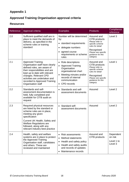# **Approved Training Organisation approval criteria**

### **Resources**

| Reference | Approval criteria                                                                                                                                                                                                                                                              | <b>Examples</b>                                                                                                                                                                               | <b>Products</b>                                                                                                                                              | Compliance<br>reference                       |
|-----------|--------------------------------------------------------------------------------------------------------------------------------------------------------------------------------------------------------------------------------------------------------------------------------|-----------------------------------------------------------------------------------------------------------------------------------------------------------------------------------------------|--------------------------------------------------------------------------------------------------------------------------------------------------------------|-----------------------------------------------|
| 2.0       | Sufficient qualified staff are in<br>place to meet the demands of<br>delivery, as specified in the<br>scheme rules or training<br>standard                                                                                                                                     | Number will be determined<br>by:<br>• standard requirements<br>• delegate numbers<br>agreed course<br>$\bullet$<br>requirements or scheme<br>rules                                            | Assured and<br>CITB products<br>Please refer to<br>specific scheme<br>rules for detail<br>Recognised<br>Please see specific<br>guidance for this<br>category | Level 3                                       |
| 2.1       | <b>Approved Training</b><br>Organisation staff have clearly<br>defined roles, are aware of<br>their responsibilities and are<br>kept up to date with relevant<br>changes. Relevant CPD<br>activities are undertaken and<br>recorded to Approved Training<br>Organisation staff | • Role descriptions<br>• Approved Training<br>Organisation<br>organisational chart<br>Meeting minutes and/or<br>$\bullet$<br>records of internal<br>communication<br>CPD records<br>$\bullet$ | Assured and<br>CITB products<br>Please refer to<br>specific scheme<br>rules for detail<br>Recognised<br>Please see specific<br>guidance for this<br>category | Level 1                                       |
| 2.2       | Standards and self-<br>assessment documentation is<br>held, fully completed and<br>available for CITB audit on<br>request                                                                                                                                                      | • Standards and self-<br>assessment documents                                                                                                                                                 | Assured                                                                                                                                                      | Level <sub>2</sub>                            |
| 2.3       | Required physical resources<br>are listed by the standard or<br>scheme rules are in place,<br>meeting any given<br>specification<br>Current UK Health, Safety and<br><b>Welfare Regulations are</b><br>followed, along with any<br>relevant industry best practice             | • Standard self-<br>assessment documents                                                                                                                                                      | Assured                                                                                                                                                      | Level <sub>2</sub>                            |
| 2.4       | Health, safety and welfare<br>systems are in place to protect<br>the Approved Training<br>Organisation staff, candidates<br>and others. These are<br>reviewed and maintained                                                                                                   | • Risk assessments<br><b>Method statements</b><br>Health and safety policy<br>Health and safety audits<br>and records of updates<br>Maintenance records                                       | Assured and<br>CITB products                                                                                                                                 | Dependent<br>on risk<br>Level 1 to<br>Level 3 |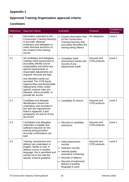# **Approved Training Organisation approval criteria**

## **Candidates**

| Reference | Approval criteria                                                                                                                                                                                                                                                                                                                                                                                                           | <b>Examples</b>                                                                                                                                                                                                            | <b>Products</b>              | Compliance<br>reference |
|-----------|-----------------------------------------------------------------------------------------------------------------------------------------------------------------------------------------------------------------------------------------------------------------------------------------------------------------------------------------------------------------------------------------------------------------------------|----------------------------------------------------------------------------------------------------------------------------------------------------------------------------------------------------------------------------|------------------------------|-------------------------|
| 3.0       | Information submitted to the<br><b>Construction Training Directory</b><br>is accurate, allowing<br>employers and delegates to<br>make informed decisions on<br>the content of the training<br>course                                                                                                                                                                                                                        | • Course information held<br>on the Construction<br><b>Training Directory that</b><br>accurately describes the<br>training being offered                                                                                   | All categories               | Level <sub>2</sub>      |
| 3.1       | All candidates and delegates<br>undergo initial assessment to<br>accurately identify course<br>sustainability and where any<br>special requirements or<br>reasonable adjustments are<br>required. Records are kept<br>Any identified needs are<br>recorded. The CITB Equal<br>Opportunities and Reasonable<br>Adjustments Policy and/or<br>specific scheme rules are<br>followed, where possible, to<br>provide fair access | • Candidate initial<br>assessment results and<br>records of any<br>adjustments made                                                                                                                                        | Assured and<br>CITB products | Level 2                 |
| 3.2       | Candidate and delegate<br>identification checks are<br>undertaken and recorded in<br>line with the requirements<br>listed in Appendix 3 and<br>paragraphs 43 and 44 of this<br>document                                                                                                                                                                                                                                     | Candidate ID checks                                                                                                                                                                                                        | Assured and<br>CITB products | Level 2                 |
| 3.3       | Candidates and delegates<br>undertake a suitable and<br>sufficient induction for the<br>training being provided.<br>Accurate confirmations are<br>kept                                                                                                                                                                                                                                                                      | • Records of candidate<br>inductions                                                                                                                                                                                       | Assured and<br>CITB products | Level 1                 |
| 3.4       | Training, assessment and<br>delivery are undertaken in<br>English, Welsh or Irish. If<br>delivery occurs in another<br>language, this is permitted and<br>carried out in line with the<br>specific scheme guidance                                                                                                                                                                                                          | • Initial assessment<br>records<br>Induction records<br>$\bullet$<br>Internal quality<br>٠<br>assurance monitoring<br>Records of delivery<br>$\bullet$<br>Records of authorised<br>delivery if another<br>language is used | Assured and<br>CITB products | Level 3                 |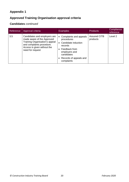# **Approved Training Organisation approval criteria**

## **Candidates** *continued*

| Reference | Approval criteria                                                                                                                                                            | <b>Examples</b>                                                                                                                                                               | <b>Products</b>                 | Compliance<br>reference |
|-----------|------------------------------------------------------------------------------------------------------------------------------------------------------------------------------|-------------------------------------------------------------------------------------------------------------------------------------------------------------------------------|---------------------------------|-------------------------|
| 3.5       | Candidates and employers are<br>made aware of the Approved<br>Training Organisation's appeal<br>and complaints procedure.<br>Access is given without the<br>need for request | Complaints and appeals<br>$\bullet$<br>procedures<br>Candidate induction<br>records<br>Feedback from<br>employers and<br>candidates<br>• Records of appeals and<br>complaints | <b>Assured CITB</b><br>products | Level 2                 |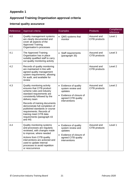# **Approved Training Organisation approval criteria**

## **Internal quality assurance**

| Reference | Approval criteria                                                                                                                                                                                                                                                                                                                                                          | <b>Examples</b>                                                                                                                    | <b>Products</b>              | Compliance<br>reference |
|-----------|----------------------------------------------------------------------------------------------------------------------------------------------------------------------------------------------------------------------------------------------------------------------------------------------------------------------------------------------------------------------------|------------------------------------------------------------------------------------------------------------------------------------|------------------------------|-------------------------|
| 4.0       | Quality management systems<br>are clearly documented and<br>cover all aspects of the<br><b>Approved Training</b><br>Organisation's processes                                                                                                                                                                                                                               | • QMS systems that<br>monitor                                                                                                      | Assured and<br>CITB products | Level 1                 |
| 4.1       | The Approved Training<br>Organisation has in place<br>suitably qualified staff to carry<br>out quality monitoring activity                                                                                                                                                                                                                                                 | <b>Staff requirements</b><br>(paragraph 35)                                                                                        | Assured and<br>CITB products | Level 3                 |
| 4.2       | Records of quality monitoring<br>are maintained in line with<br>agreed quality management<br>system requirements, allowing<br>for audit, and available for<br>review                                                                                                                                                                                                       |                                                                                                                                    | Assured and<br>CITB products | Level <sub>2</sub>      |
| 4.3       | Quality monitoring activity<br>ensures that CITB product<br>scheme rules and industry<br>standard requirements are<br>consistently followed by the<br>delivery team<br>Records of training documents<br>demonstrate full completion of<br>published standards or course<br>requirements. Records of<br>training meet CITB data<br>requirements (paragraph 43<br>and $44$ ) | • Evidence of quality<br>system review and<br>updates<br>Evidence of closure of<br>agreed CITB quality<br>interventions            | Assured and<br>CITB products | Level <sub>2</sub>      |
| 4.4       | Quality monitoring systems<br>and processes are regularly<br>reviewed, with changes made<br>to improve, where needed<br>Actions from CITB quality<br>interventions are actioned and<br>used to update internal<br>processes to avoid repetition<br>or reoccurrence                                                                                                         | Evidence of quality<br>system review and<br>updates<br>Evidence of closure of<br>$\bullet$<br>agreed CITB quality<br>interventions | Assured and<br>CITB products | Level 1                 |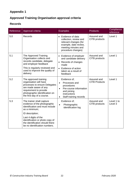# **Approved Training Organisation approval criteria**

### **Records**

| Reference | Approval criteria                                                                                                                                                                                   | <b>Examples</b>                                                                                                                                        | <b>Products</b>                     | Compliance<br>reference |
|-----------|-----------------------------------------------------------------------------------------------------------------------------------------------------------------------------------------------------|--------------------------------------------------------------------------------------------------------------------------------------------------------|-------------------------------------|-------------------------|
| 5.0       | Records                                                                                                                                                                                             | Evidence of data<br>$\bullet$<br>collection, review and<br>relevant changes (for<br>example, date review,<br>meeting minutes and<br>procedure changes) | Assured and<br>CITB products        | Level 1                 |
| 5.1       | The Approved Training<br>Organisation collects and<br>records candidate, delegate<br>and employer feedback<br>This is regularly reviewed and<br>used to improve the quality of<br>delivery          | • Evidence of employer<br>and candidate delivery<br>Records of changes<br>$\bullet$<br>made<br>Evidence of action<br>taken as a result of<br>feedback  | Assured and<br>CITB products        | Level 1                 |
| 5.2       | The approved training<br>organisation will have<br>processes to ensure Delegates<br>are made aware of any<br>requirement to provide<br>photographic identification on<br>the first day of a course. | Evidence of;<br>Processes and<br>procedures<br>Pre-course information<br>and joining<br>instructions<br>Staff training records                         | Assured and<br><b>CITB Products</b> | Level 1                 |
| 5.3       | The trainer shall capture<br>evidence of the photographic<br>identification and must include<br>as a minimum;<br>ID description;                                                                    | Evidence of:<br>Photographic<br>identification log                                                                                                     | Assured and<br>CITB products        | Level 1 to<br>Level 3   |
|           | Last 4 digits of the<br>identification or photo copy of<br>the identification should there<br>be no identification numbers.                                                                         |                                                                                                                                                        |                                     |                         |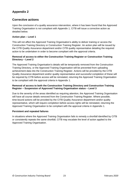### **Corrective actions**

Upon the conclusion of a quality assurance intervention, where it has been found that the Approved Training Organisation is not compliant with Appendix 1, CITB will issue a corrective action as detailed below.

#### **Action plan – Level 1**

This will not affect the Approved Training Organisation's ability to deliver training or access the Construction Training Directory or Construction Training Register. An action plan will be issued by the CITB Quality Assurance department and/or CITB quality representative detailing the required action to be undertaken in order to become compliant with the approval criteria.

#### **Removal of access to either the Construction Training Register or Construction Training Directory – Level 2**

The Approved Training Organisation's details will be temporarily removed from the Construction Training Directory, or the Approved Training Organisation will be prevented from uploading achievement data into the Construction Training Register. Actions will be provided by the CITB Quality Assurance department and/or quality representative and successful completion of these will be required by CITB before access will be reinstated, returning the Approved Training Organisation to be compliant with the approval criteria in Appendix 1.

#### **Removal of access to both the Construction Training Directory and Construction Training Register – Suspension of Approved Training Organisation status – Level 3**

Due to the severity of the areas identified as requiring attention, the Approved Training Organisation will have all course details removed from the Construction Training Register. Where possible, time-bound actions will be provided by the CITB Quality Assurance department and/or quality representative, which will require completion before access rights will be reinstated, returning the Approved Training Organisation to be compliant with the approval criteria in Appendix 1.

### **Persistent and repeated failures**

In situations where the Approved Training Organisation fails to remedy a shortfall identified by CITB or consistently repeats the same shortfall, CITB may escalate the level of action applied to the Approved Training Organisation.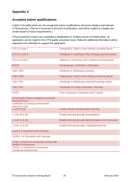### **Accepted trainer qualifications**

Listed in the table below are the recognised trainer qualifications (Assured category and relevant CITB products). (*This list is accurate at the time of publication, and will be subject to change and review based on future requirements.*)

If the prospective trainer has completed a qualification or certified course not listed below, an application can be made to the CITB quality assurance team. Relevant additional information will be required to be submitted to support the application.

| <b>PTLLS Level 3</b>                                                         | Preparing to Teach in the Lifelong Learning Sector      |
|------------------------------------------------------------------------------|---------------------------------------------------------|
| <b>CTLLS Level 3</b>                                                         | Certificate in Teaching in the Lifelong Learning Sector |
| <b>DTLLS Level 5</b>                                                         | Diploma in Teaching in the Lifelong Learning Sector     |
| <b>PGCE</b>                                                                  | Postgraduate Certificate in Education                   |
| C&G 7302                                                                     | <b>Certificate in Delivering Learning</b>               |
| C&G 7303                                                                     | Preparing to Teach in the Lifelong Learning Sector      |
| C&G 7307                                                                     | Certificate in Delivering Learning/Teaching Adults      |
| C&G 7407                                                                     | <b>Certificate in Further Education Teaching</b>        |
| <b>PCET</b>                                                                  | Post Compulsory Education and Training                  |
| <b>Construction Plant Competence Scheme</b><br><b>Instructor Card</b>        |                                                         |
| <b>Certificate of Training Achievement</b><br><b>Instructor Card</b>         |                                                         |
| $L$ Unit 9 (L9)                                                              | Create climate that promotes learning                   |
| L Unit 10 (L10)                                                              | Enable learning through presentations                   |
| L Unit 11 (L11)                                                              | Enable learning through demonstrations and instruction  |
| L Unit 12 (L12)                                                              | Enable learning through coaching/mentoring              |
| Level 3 In Education and Learning                                            |                                                         |
| LEVEL 4 In Education and Learning                                            |                                                         |
| <b>TAQA L3 Award in Assessing Vocationally</b><br><b>Related Achievement</b> |                                                         |
| <b>TAQA L3 Certificate in Assessing</b><br><b>Vocational Achievement</b>     |                                                         |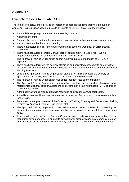### **Example reasons to update CITB**

The items listed below are to provide an indication of possible incidents that would require an Approved Training Organisation to provide an update to CITB. (*This list is not exhaustive.*)

- A material change in governance structure or legal status.
- A change of control.
- A merger between it and another Approved Training Organisation, company or organisation.
- Any insolvency or bankruptcy proceedings.
- There is a substantial error in the published training standard (Assured) or CITB product requirements.
- There has been a loss or theft of, or a breach of confidentiality in, Approved Training Organisation records (for example, delivery and administration).
- The Approved Training Organisation cannot supply requested information to CITB by a stipulated date.
- There has been a failure in the delivery of training and/or related assessments or testing that threatens industry confidence in the training, assessment or testing entered on the Construction Training Directory.
- Loss of key Approved Training Organisation staff that will limit or prevent the delivery of approved product categories (Assured, CITB products and Recognised).
- The Approved Training Organisation has issued incorrect results or certificates.
- The Approved Training Organisation believes that there has been an incident of malpractice or maladministration that could invalidate the achievement of a training standard, CITB course or regulated certificate.
- A third party awarding organisation has rescinded qualifications and/or certificates.
- A qualification or certificate has been returned as a result of an error and the achievement is no longer valid.
- Fraudulent or inappropriate use of the Construction Training Directory and Construction Training Register by Approved Training Organisation staff.
- The Approved Training Organisation is named as a party in any criminal or civil proceedings or is subject to a regulatory investigation or sanction by any professional, regulatory or government body.
- A senior officer of the Approved Training Organisation is a party to criminal proceedings (other than minor driving offences), is subject to any action for disqualification as a company director, or is subject to disciplinary proceedings by any professional, regulatory or government body.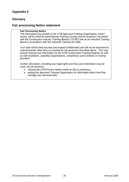### **Glossary**

### **Fair processing Notice statement**

#### *Fair Processing Notice*

*The information you provide to the CITB Approved Training Organisation, {insert name}, will be used for administering Training Courses and for purposes connected with the Construction Industry Training Board's ("CITB") role as an Industrial Training Board in accordance with the Industrial Training Act 1982.*

*Your data will be held securely and treated confidentially and will not be disclosed to external parties other than as required for the purposes described above. This may include sharing your information on the CITB Construction Training Register as well as with employers, awarding organisations, competency card schemes or training providers.*

*Further information, including your legal rights and how your information may be used, can be found by:*

- *viewing the CITB Privacy Notice online at citb.co.uk/privacy;*
- *asking the Approved Training Organisation for information about how they manage your personal data.*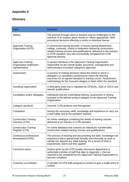# **Glossary**

| <b>Term</b>                                                           | <b>Definition</b>                                                                                                                                                                                                                                                                               |
|-----------------------------------------------------------------------|-------------------------------------------------------------------------------------------------------------------------------------------------------------------------------------------------------------------------------------------------------------------------------------------------|
| Appeal                                                                | The process through which a decision may be challenged on the<br>outcome of an enquiry about results or, where appropriate, other<br>procedural decisions affecting a centre or individual learner                                                                                              |
| <b>Approved Training</b><br>Organisation (ATO)                        | A commercial training provider, in-house training department,<br>college, university, charity or federation delivering construction-<br>related training courses and qualifications, delivered to the industry<br>or CITB standard, who has successfully completed the CITB<br>approval process |
| <b>Approved Training</b><br>Organisation authorised<br>representative | A named individual in the Approved Training Organisation<br>responsible for the overall quality assurance, management and<br>administration of product category/s approved                                                                                                                      |
| Assessment                                                            | A process of making decisions about the extent to which a<br>delegate's or candidate's performance meets the learning<br>outcomes for an agreed standard or training course. Assessment<br>methodology for the Assured category is listed within the standard                                   |
| Awarding organisation                                                 | A third party body that is regulated by OFQUAL, SQA or CECA and<br>awards qualifications                                                                                                                                                                                                        |
| Candidates and/or delegates                                           | Individuals that are undertaking training, assessment or testing<br>included in the defined product category for an Approved Training<br>Organisation                                                                                                                                           |
| Category (product)                                                    | Assured, CITB products and Recognised                                                                                                                                                                                                                                                           |
| Competent                                                             | Having the necessary skills, knowledge and experience to carry out<br>a task safely and to the standard required                                                                                                                                                                                |
| <b>Construction Training</b><br>Directory (CTD)                       | An online catalogue containing the details of training courses<br>delivered to an industry or CITB standard                                                                                                                                                                                     |
| <b>Construction Training</b><br>Register (CTR)                        | An online database that contains an individual's transferrable,<br>construction-related training courses and qualifications                                                                                                                                                                     |
| Continuous professional<br>development (CPD)                          | The process of tracking and documenting the skills, knowledge and<br>experience that is gained both formally and informally as work is<br>carried out, beyond any initial training. It's a record of what is<br>experienced, learnt and then applied                                            |
| Corrective action                                                     | Actions given by the CITB Quality Assurance department or<br>authorised member of staff that align to Appendix 1, that are<br>required to be completed by the Approved Training Organisation to<br>become compliant                                                                             |
| Customer co-ordinator                                                 | A member of CITB staff assigned to centres to give a single point of<br>contact                                                                                                                                                                                                                 |